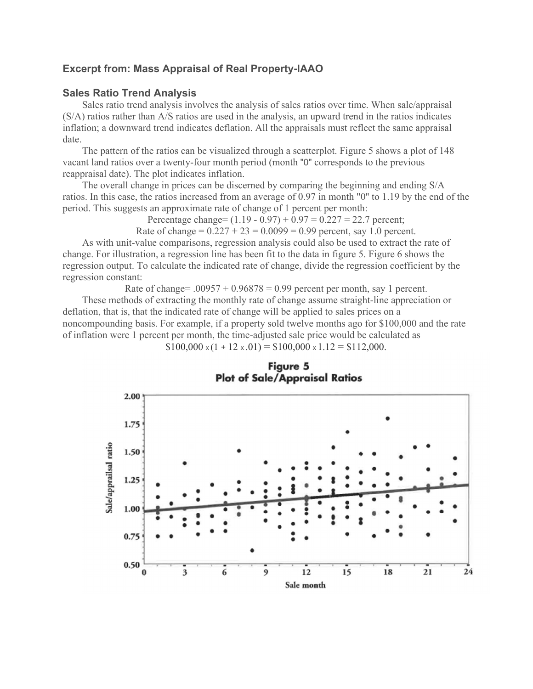## **Excerpt from: Mass Appraisal of Real Property-IAAO**

## **Sales Ratio Trend Analysis**

Sales ratio trend analysis involves the analysis of sales ratios over time. When sale/appraisal (S/A) ratios rather than A/S ratios are used in the analysis, an upward trend in the ratios indicates inflation; a downward trend indicates deflation. All the appraisals must reflect the same appraisal date.

The pattern of the ratios can be visualized through a scatterplot. Figure 5 shows a plot of 148 vacant land ratios over a twenty-four month period (month "0" corresponds to the previous reappraisal date). The plot indicates inflation.

The overall change in prices can be discerned by comparing the beginning and ending S/A ratios. In this case, the ratios increased from an average of 0.97 in month "0'' to 1.19 by the end of the period. This suggests an approximate rate of change of 1 percent per month:

Percentage change=  $(1.19 - 0.97) + 0.97 = 0.227 = 22.7$  percent;

Rate of change =  $0.227 + 23 = 0.0099 = 0.99$  percent, say 1.0 percent.

As with unit-value comparisons, regression analysis could also be used to extract the rate of change. For illustration, a regression line has been fit to the data in figure 5. Figure 6 shows the regression output. To calculate the indicated rate of change, divide the regression coefficient by the regression constant:

Rate of change=  $.00957 + 0.96878 = 0.99$  percent per month, say 1 percent. These methods of extracting the monthly rate of change assume straight-line appreciation or deflation, that is, that the indicated rate of change will be applied to sales prices on a noncompounding basis. For example, if a property sold twelve months ago for \$100,000 and the rate of inflation were 1 percent per month, the time-adjusted sale price would be calculated as  $$100,000 \times (1 + 12 \times 0.01) = $100,000 \times 1.12 = $112,000.$